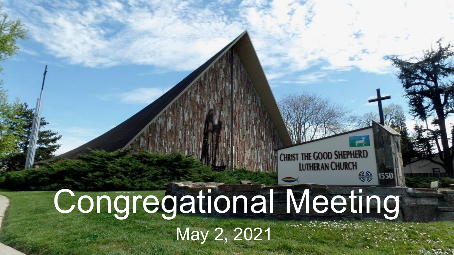# Congregational Meeting May 2, 2021

CHRIST THE GOOD SHEPHERD **LUTHERAN CHURCH** 

鲁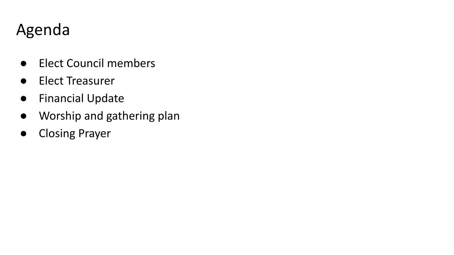## Agenda

- Elect Council members
- Elect Treasurer
- Financial Update
- Worship and gathering plan
- Closing Prayer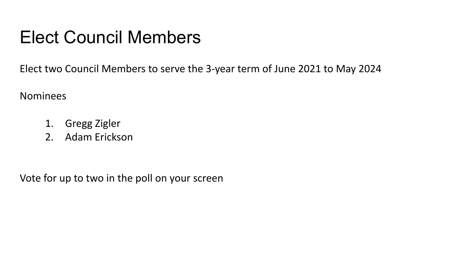# Elect Council Members

Elect two Council Members to serve the 3-year term of June 2021 to May 2024

Nominees

- 1. Gregg Zigler
- 2. Adam Erickson

Vote for up to two in the poll on your screen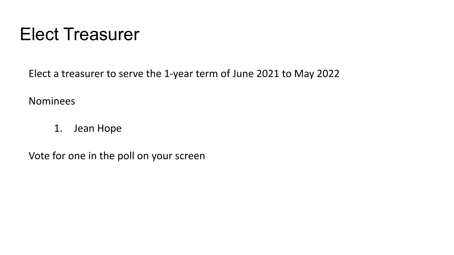# Elect Treasurer

Elect a treasurer to serve the 1-year term of June 2021 to May 2022

Nominees

1. Jean Hope

Vote for one in the poll on your screen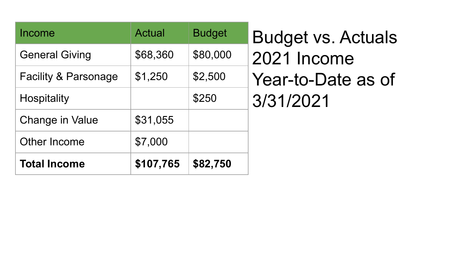| Income                          | <b>Actual</b> | <b>Budget</b> | <b>Budget vs. Actuals</b> |
|---------------------------------|---------------|---------------|---------------------------|
| <b>General Giving</b>           | \$68,360      | \$80,000      | 2021 Income               |
| <b>Facility &amp; Parsonage</b> | \$1,250       | \$2,500       | Year-to-Date as of        |
| <b>Hospitality</b>              |               | \$250         | 3/31/2021                 |
| Change in Value                 | \$31,055      |               |                           |
| Other Income                    | \$7,000       |               |                           |
| <b>Total Income</b>             | \$107,765     | \$82,750      |                           |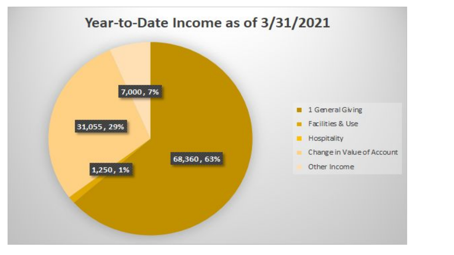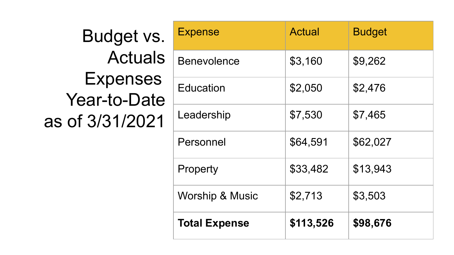# Budget vs. Actuals Expenses Year-to-Date as of 3/31/2021

| <b>Total Expense</b>       | \$113,526 | \$98,676      |
|----------------------------|-----------|---------------|
| <b>Worship &amp; Music</b> | \$2,713   | \$3,503       |
| Property                   | \$33,482  | \$13,943      |
| Personnel                  | \$64,591  | \$62,027      |
| Leadership                 | \$7,530   | \$7,465       |
| Education                  | \$2,050   | \$2,476       |
| <b>Benevolence</b>         | \$3,160   | \$9,262       |
| <b>Expense</b>             | Actual    | <b>Budget</b> |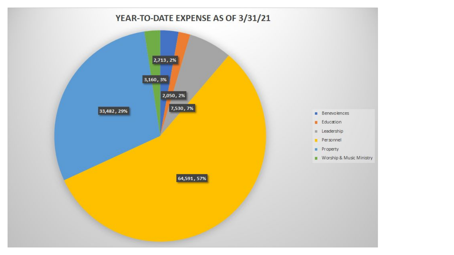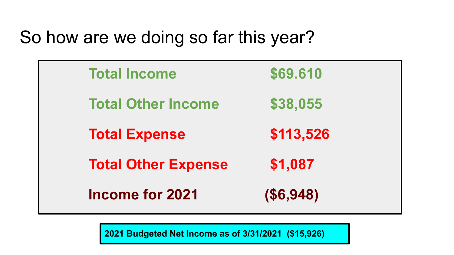## So how are we doing so far this year?

| <b>Total Income</b>        | \$69.610    |
|----------------------------|-------------|
| <b>Total Other Income</b>  | \$38,055    |
| <b>Total Expense</b>       | \$113,526   |
| <b>Total Other Expense</b> | \$1,087     |
| <b>Income for 2021</b>     | ( \$6, 948) |

**2021 Budgeted Net Income as of 3/31/2021 (\$15,926)**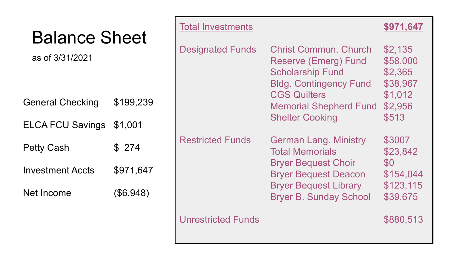| <b>Balance Sheet</b><br>as of 3/31/2021 |           | <b>Total Investments</b>  |                                                                                                                  | \$971,647                                  |
|-----------------------------------------|-----------|---------------------------|------------------------------------------------------------------------------------------------------------------|--------------------------------------------|
|                                         |           | <b>Designated Funds</b>   | <b>Christ Commun. Church</b><br>Reserve (Emerg) Fund<br><b>Scholarship Fund</b><br><b>Bldg. Contingency Fund</b> | \$2,135<br>\$58,000<br>\$2,365<br>\$38,967 |
| <b>General Checking</b>                 | \$199,239 |                           | <b>CGS Quilters</b><br><b>Memorial Shepherd Fund</b>                                                             | \$1,012<br>\$2,956                         |
| <b>ELCA FCU Savings</b>                 | \$1,001   |                           | <b>Shelter Cooking</b>                                                                                           | \$513                                      |
| <b>Petty Cash</b>                       | \$274     | <b>Restricted Funds</b>   | <b>German Lang. Ministry</b><br><b>Total Memorials</b>                                                           | \$3007<br>\$23,842                         |
| <b>Investment Accts</b>                 | \$971,647 |                           | <b>Bryer Bequest Choir</b><br><b>Bryer Bequest Deacon</b>                                                        | \$0<br>\$154,044                           |
| Net Income                              | (\$6.948) |                           | <b>Bryer Bequest Library</b><br><b>Bryer B. Sunday School</b>                                                    | \$123,115<br>\$39,675                      |
|                                         |           | <b>Unrestricted Funds</b> |                                                                                                                  | \$880,513                                  |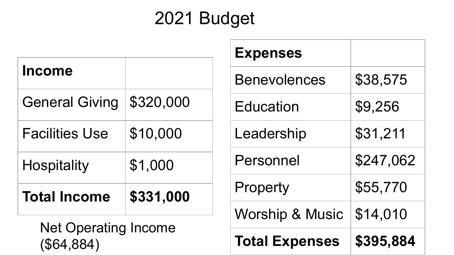# 2021 Budget

|                                           |           | <b>Expenses</b>            |           |
|-------------------------------------------|-----------|----------------------------|-----------|
| <b>Income</b>                             |           | <b>Benevolences</b>        | \$38,575  |
| <b>General Giving</b>                     | \$320,000 | Education                  | \$9,256   |
| <b>Facilities Use</b>                     | \$10,000  | Leadership                 | \$31,211  |
| <b>Hospitality</b>                        | \$1,000   | Personnel                  | \$247,062 |
| <b>Total Income</b>                       | \$331,000 | Property                   | \$55,770  |
|                                           |           | <b>Worship &amp; Music</b> | \$14,010  |
| <b>Net Operating Income</b><br>(\$64,884) |           | <b>Total Expenses</b>      | \$395,884 |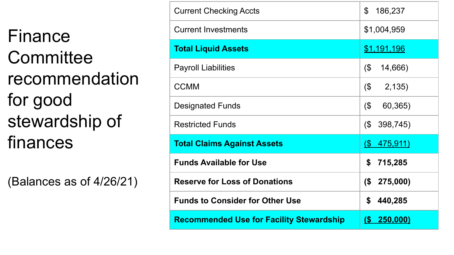Finance **Committee** recommendation for good stewardship of finances

(Balances as of 4/26/21)

| <b>Current Checking Accts</b>                   | \$<br>186,237         |
|-------------------------------------------------|-----------------------|
| <b>Current Investments</b>                      | \$1,004,959           |
| <b>Total Liquid Assets</b>                      | <u>\$1,191,196</u>    |
| <b>Payroll Liabilities</b>                      | $\sqrt{3}$<br>14,666) |
| <b>CCMM</b>                                     | $($ \$<br>2,135)      |
| <b>Designated Funds</b>                         | (\$<br>60,365)        |
| <b>Restricted Funds</b>                         | (S)<br>398,745)       |
| <b>Total Claims Against Assets</b>              | $(S$ 475,911)         |
| <b>Funds Available for Use</b>                  | \$715,285             |
| <b>Reserve for Loss of Donations</b>            | (S<br>275,000)        |
| <b>Funds to Consider for Other Use</b>          | \$<br>440,285         |
| <b>Recommended Use for Facility Stewardship</b> | $(S$ 250,000)         |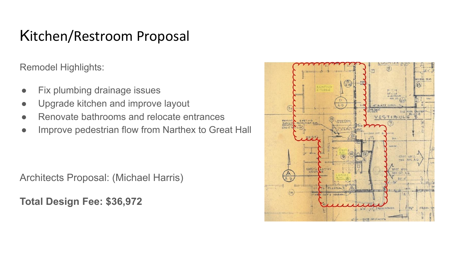#### Kitchen/Restroom Proposal

Remodel Highlights:

- Fix plumbing drainage issues
- Upgrade kitchen and improve layout
- Renovate bathrooms and relocate entrances
- Improve pedestrian flow from Narthex to Great Hall

Architects Proposal: (Michael Harris)

**Total Design Fee: \$36,972**

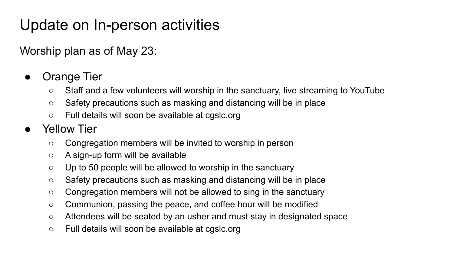### Update on In-person activities

Worship plan as of May 23:

#### ● Orange Tier

- Staff and a few volunteers will worship in the sanctuary, live streaming to YouTube
- Safety precautions such as masking and distancing will be in place
- Full details will soon be available at cgslc.org
- Yellow Tier
	- Congregation members will be invited to worship in person
	- A sign-up form will be available
	- Up to 50 people will be allowed to worship in the sanctuary
	- Safety precautions such as masking and distancing will be in place
	- Congregation members will not be allowed to sing in the sanctuary
	- Communion, passing the peace, and coffee hour will be modified
	- Attendees will be seated by an usher and must stay in designated space
	- Full details will soon be available at cgslc.org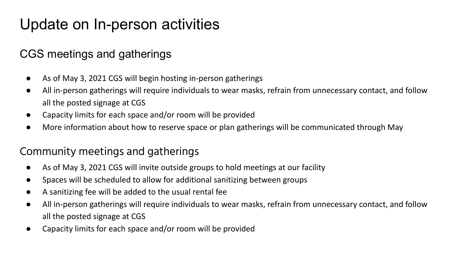## Update on In-person activities

#### CGS meetings and gatherings

- As of May 3, 2021 CGS will begin hosting in-person gatherings
- All in-person gatherings will require individuals to wear masks, refrain from unnecessary contact, and follow all the posted signage at CGS
- Capacity limits for each space and/or room will be provided
- More information about how to reserve space or plan gatherings will be communicated through May

#### Community meetings and gatherings

- As of May 3, 2021 CGS will invite outside groups to hold meetings at our facility
- Spaces will be scheduled to allow for additional sanitizing between groups
- A sanitizing fee will be added to the usual rental fee
- All in-person gatherings will require individuals to wear masks, refrain from unnecessary contact, and follow all the posted signage at CGS
- Capacity limits for each space and/or room will be provided